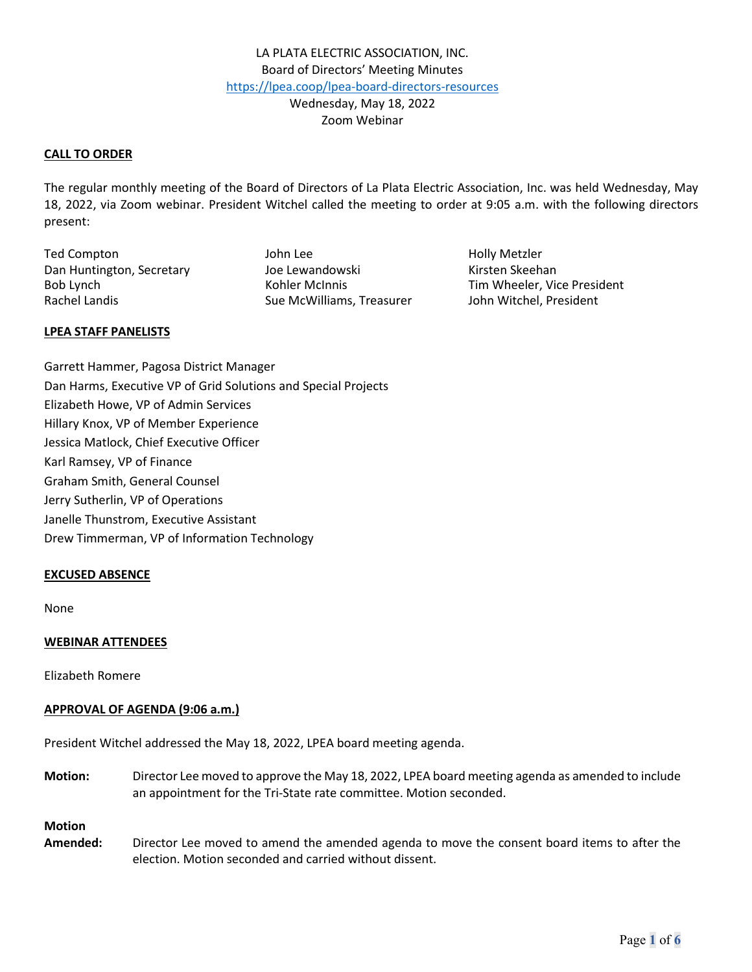## **CALL TO ORDER**

The regular monthly meeting of the Board of Directors of La Plata Electric Association, Inc. was held Wednesday, May 18, 2022, via Zoom webinar. President Witchel called the meeting to order at 9:05 a.m. with the following directors present:

Ted Compton The Compton Compton Compton Compton Compton Compton John Lee The Holly Metzler

Dan Huntington, Secretary **Manual School** Joe Lewandowski Kirsten Skeehan Rachel Landis **Sue McWilliams, Treasurer** John Witchel, President

Bob Lynch **Kohler McInnis** Kohler McInnis Tim Wheeler, Vice President

#### **LPEA STAFF PANELISTS**

Garrett Hammer, Pagosa District Manager Dan Harms, Executive VP of Grid Solutions and Special Projects Elizabeth Howe, VP of Admin Services Hillary Knox, VP of Member Experience Jessica Matlock, Chief Executive Officer Karl Ramsey, VP of Finance Graham Smith, General Counsel Jerry Sutherlin, VP of Operations Janelle Thunstrom, Executive Assistant Drew Timmerman, VP of Information Technology

# **EXCUSED ABSENCE**

None

# **WEBINAR ATTENDEES**

Elizabeth Romere

# **APPROVAL OF AGENDA (9:06 a.m.)**

President Witchel addressed the May 18, 2022, LPEA board meeting agenda.

**Motion:** Director Lee moved to approve the May 18, 2022, LPEA board meeting agenda as amended to include an appointment for the Tri-State rate committee. Motion seconded.

#### **Motion**

**Amended:** Director Lee moved to amend the amended agenda to move the consent board items to after the election. Motion seconded and carried without dissent.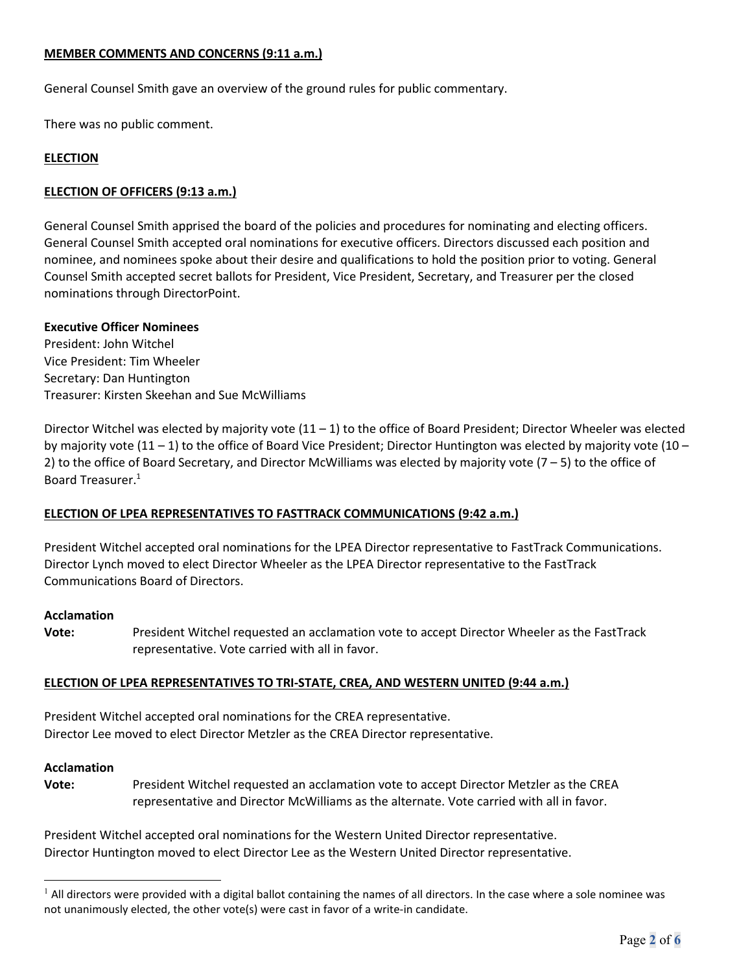# **MEMBER COMMENTS AND CONCERNS (9:11 a.m.)**

General Counsel Smith gave an overview of the ground rules for public commentary.

There was no public comment.

# **ELECTION**

# **ELECTION OF OFFICERS (9:13 a.m.)**

General Counsel Smith apprised the board of the policies and procedures for nominating and electing officers. General Counsel Smith accepted oral nominations for executive officers. Directors discussed each position and nominee, and nominees spoke about their desire and qualifications to hold the position prior to voting. General Counsel Smith accepted secret ballots for President, Vice President, Secretary, and Treasurer per the closed nominations through DirectorPoint.

## **Executive Officer Nominees**

President: John Witchel Vice President: Tim Wheeler Secretary: Dan Huntington Treasurer: Kirsten Skeehan and Sue McWilliams

Director Witchel was elected by majority vote  $(11 - 1)$  to the office of Board President; Director Wheeler was elected by majority vote (11 – 1) to the office of Board Vice President; Director Huntington was elected by majority vote (10 – 2) to the office of Board Secretary, and Director McWilliams was elected by majority vote (7 – 5) to the office of Board Treasurer.<sup>1</sup>

# **ELECTION OF LPEA REPRESENTATIVES TO FASTTRACK COMMUNICATIONS (9:42 a.m.)**

President Witchel accepted oral nominations for the LPEA Director representative to FastTrack Communications. Director Lynch moved to elect Director Wheeler as the LPEA Director representative to the FastTrack Communications Board of Directors.

#### **Acclamation**

**Vote:** President Witchel requested an acclamation vote to accept Director Wheeler as the FastTrack representative. Vote carried with all in favor.

# **ELECTION OF LPEA REPRESENTATIVES TO TRI-STATE, CREA, AND WESTERN UNITED (9:44 a.m.)**

President Witchel accepted oral nominations for the CREA representative. Director Lee moved to elect Director Metzler as the CREA Director representative.

#### **Acclamation**

**Vote:** President Witchel requested an acclamation vote to accept Director Metzler as the CREA representative and Director McWilliams as the alternate. Vote carried with all in favor.

President Witchel accepted oral nominations for the Western United Director representative. Director Huntington moved to elect Director Lee as the Western United Director representative.

 $<sup>1</sup>$  All directors were provided with a digital ballot containing the names of all directors. In the case where a sole nominee was</sup> not unanimously elected, the other vote(s) were cast in favor of a write-in candidate.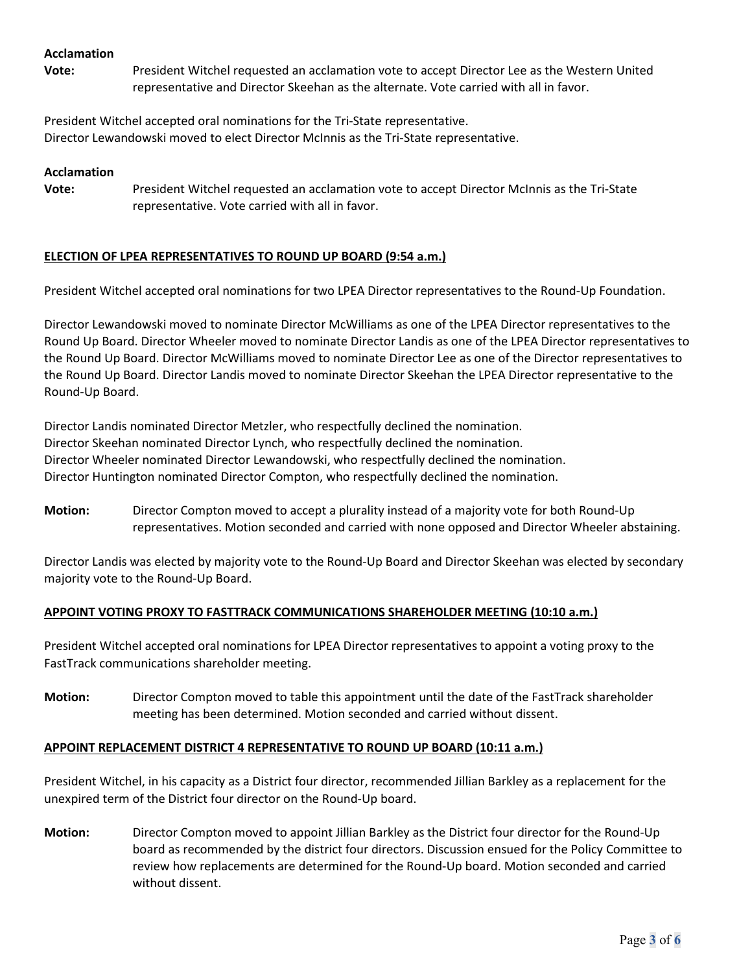# **Acclamation**

**Vote:** President Witchel requested an acclamation vote to accept Director Lee as the Western United representative and Director Skeehan as the alternate. Vote carried with all in favor.

President Witchel accepted oral nominations for the Tri-State representative. Director Lewandowski moved to elect Director McInnis as the Tri-State representative.

#### **Acclamation**

**Vote:** President Witchel requested an acclamation vote to accept Director McInnis as the Tri-State representative. Vote carried with all in favor.

## **ELECTION OF LPEA REPRESENTATIVES TO ROUND UP BOARD (9:54 a.m.)**

President Witchel accepted oral nominations for two LPEA Director representatives to the Round-Up Foundation.

Director Lewandowski moved to nominate Director McWilliams as one of the LPEA Director representatives to the Round Up Board. Director Wheeler moved to nominate Director Landis as one of the LPEA Director representatives to the Round Up Board. Director McWilliams moved to nominate Director Lee as one of the Director representatives to the Round Up Board. Director Landis moved to nominate Director Skeehan the LPEA Director representative to the Round-Up Board.

Director Landis nominated Director Metzler, who respectfully declined the nomination. Director Skeehan nominated Director Lynch, who respectfully declined the nomination. Director Wheeler nominated Director Lewandowski, who respectfully declined the nomination. Director Huntington nominated Director Compton, who respectfully declined the nomination.

**Motion:** Director Compton moved to accept a plurality instead of a majority vote for both Round-Up representatives. Motion seconded and carried with none opposed and Director Wheeler abstaining.

Director Landis was elected by majority vote to the Round-Up Board and Director Skeehan was elected by secondary majority vote to the Round-Up Board.

# **APPOINT VOTING PROXY TO FASTTRACK COMMUNICATIONS SHAREHOLDER MEETING (10:10 a.m.)**

President Witchel accepted oral nominations for LPEA Director representatives to appoint a voting proxy to the FastTrack communications shareholder meeting.

**Motion:** Director Compton moved to table this appointment until the date of the FastTrack shareholder meeting has been determined. Motion seconded and carried without dissent.

#### **APPOINT REPLACEMENT DISTRICT 4 REPRESENTATIVE TO ROUND UP BOARD (10:11 a.m.)**

President Witchel, in his capacity as a District four director, recommended Jillian Barkley as a replacement for the unexpired term of the District four director on the Round-Up board.

**Motion:** Director Compton moved to appoint Jillian Barkley as the District four director for the Round-Up board as recommended by the district four directors. Discussion ensued for the Policy Committee to review how replacements are determined for the Round-Up board. Motion seconded and carried without dissent.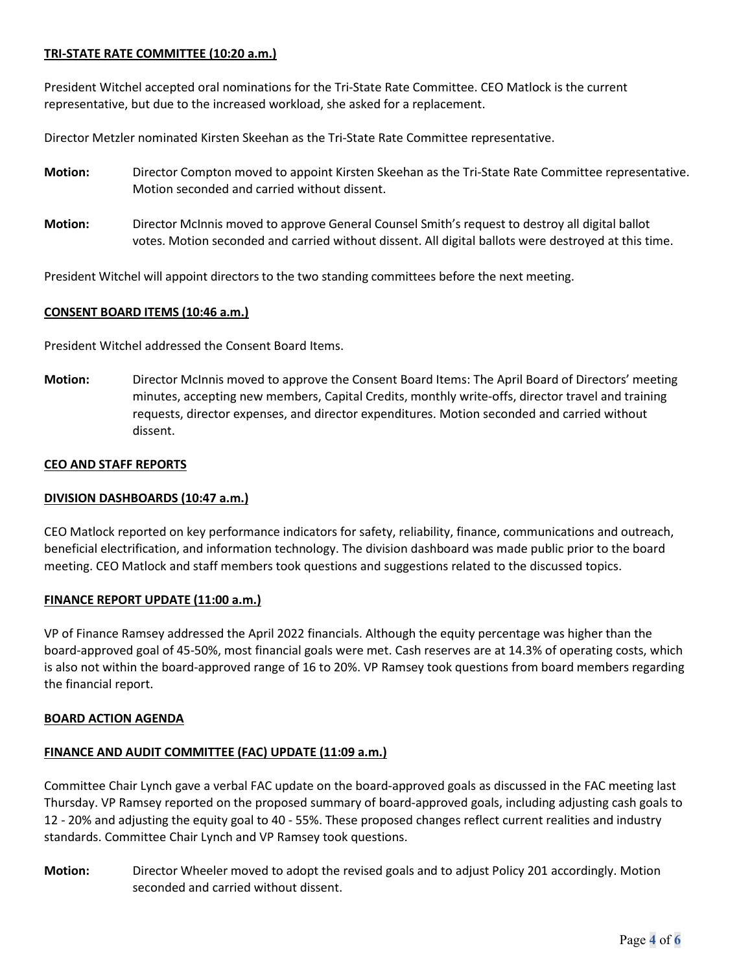# **TRI-STATE RATE COMMITTEE (10:20 a.m.)**

President Witchel accepted oral nominations for the Tri-State Rate Committee. CEO Matlock is the current representative, but due to the increased workload, she asked for a replacement.

Director Metzler nominated Kirsten Skeehan as the Tri-State Rate Committee representative.

- **Motion:** Director Compton moved to appoint Kirsten Skeehan as the Tri-State Rate Committee representative. Motion seconded and carried without dissent.
- **Motion:** Director McInnis moved to approve General Counsel Smith's request to destroy all digital ballot votes. Motion seconded and carried without dissent. All digital ballots were destroyed at this time.

President Witchel will appoint directors to the two standing committees before the next meeting.

## **CONSENT BOARD ITEMS (10:46 a.m.)**

President Witchel addressed the Consent Board Items.

**Motion:** Director McInnis moved to approve the Consent Board Items: The April Board of Directors' meeting minutes, accepting new members, Capital Credits, monthly write-offs, director travel and training requests, director expenses, and director expenditures. Motion seconded and carried without dissent.

## **CEO AND STAFF REPORTS**

#### **DIVISION DASHBOARDS (10:47 a.m.)**

CEO Matlock reported on key performance indicators for safety, reliability, finance, communications and outreach, beneficial electrification, and information technology. The division dashboard was made public prior to the board meeting. CEO Matlock and staff members took questions and suggestions related to the discussed topics.

## **FINANCE REPORT UPDATE (11:00 a.m.)**

VP of Finance Ramsey addressed the April 2022 financials. Although the equity percentage was higher than the board-approved goal of 45-50%, most financial goals were met. Cash reserves are at 14.3% of operating costs, which is also not within the board-approved range of 16 to 20%. VP Ramsey took questions from board members regarding the financial report.

#### **BOARD ACTION AGENDA**

# **FINANCE AND AUDIT COMMITTEE (FAC) UPDATE (11:09 a.m.)**

Committee Chair Lynch gave a verbal FAC update on the board-approved goals as discussed in the FAC meeting last Thursday. VP Ramsey reported on the proposed summary of board-approved goals, including adjusting cash goals to 12 - 20% and adjusting the equity goal to 40 - 55%. These proposed changes reflect current realities and industry standards. Committee Chair Lynch and VP Ramsey took questions.

**Motion:** Director Wheeler moved to adopt the revised goals and to adjust Policy 201 accordingly. Motion seconded and carried without dissent.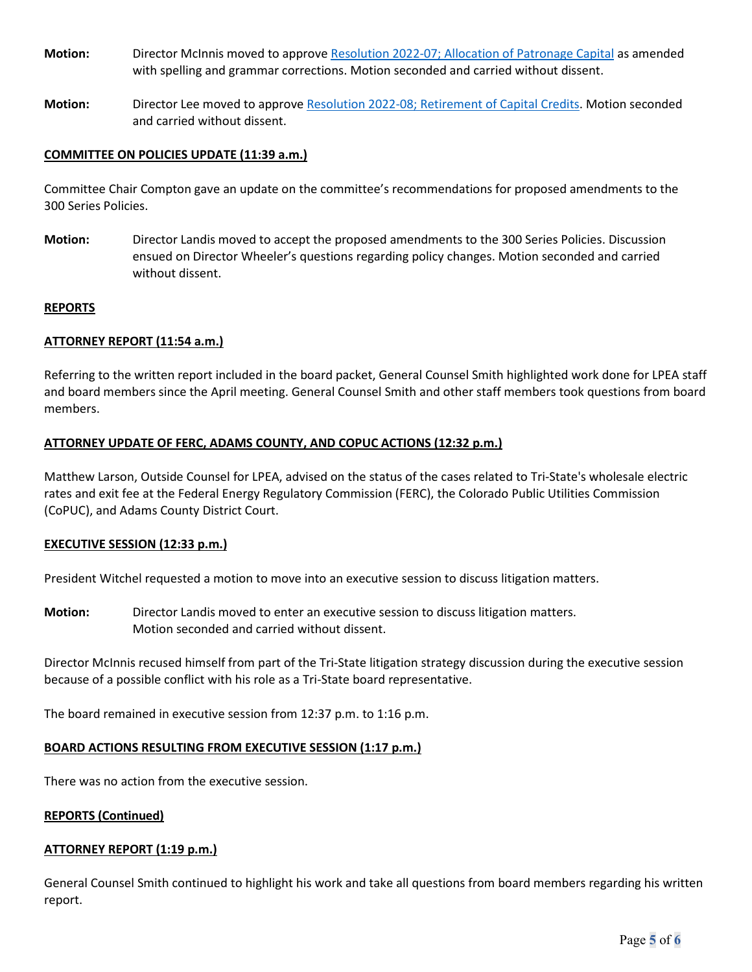- **Motion:** Director McInnis moved to approv[e Resolution 2022-07; Allocation of Patronage Capital](https://lpea.coop/sites/default/files/2022-05/RESOLUTION%202022-07%3B%20Allocation%20of%20Patronage%20Capital.pdf) as amended with spelling and grammar corrections. Motion seconded and carried without dissent.
- **Motion:** Director Lee moved to approve [Resolution 2022-08; Retirement of Capital Credits.](https://lpea.coop/sites/default/files/2022-05/RESOLUTION%202022-08%3B%20Capital%20Credit%20Retirement.pdf) Motion seconded and carried without dissent.

# **COMMITTEE ON POLICIES UPDATE (11:39 a.m.)**

Committee Chair Compton gave an update on the committee's recommendations for proposed amendments to the 300 Series Policies.

**Motion:** Director Landis moved to accept the proposed amendments to the 300 Series Policies. Discussion ensued on Director Wheeler's questions regarding policy changes. Motion seconded and carried without dissent.

## **REPORTS**

# **ATTORNEY REPORT (11:54 a.m.)**

Referring to the written report included in the board packet, General Counsel Smith highlighted work done for LPEA staff and board members since the April meeting. General Counsel Smith and other staff members took questions from board members.

## **ATTORNEY UPDATE OF FERC, ADAMS COUNTY, AND COPUC ACTIONS (12:32 p.m.)**

Matthew Larson, Outside Counsel for LPEA, advised on the status of the cases related to Tri-State's wholesale electric rates and exit fee at the Federal Energy Regulatory Commission (FERC), the Colorado Public Utilities Commission (CoPUC), and Adams County District Court.

# **EXECUTIVE SESSION (12:33 p.m.)**

President Witchel requested a motion to move into an executive session to discuss litigation matters.

**Motion:** Director Landis moved to enter an executive session to discuss litigation matters. Motion seconded and carried without dissent.

Director McInnis recused himself from part of the Tri-State litigation strategy discussion during the executive session because of a possible conflict with his role as a Tri-State board representative.

The board remained in executive session from 12:37 p.m. to 1:16 p.m.

#### **BOARD ACTIONS RESULTING FROM EXECUTIVE SESSION (1:17 p.m.)**

There was no action from the executive session.

#### **REPORTS (Continued)**

# **ATTORNEY REPORT (1:19 p.m.)**

General Counsel Smith continued to highlight his work and take all questions from board members regarding his written report.